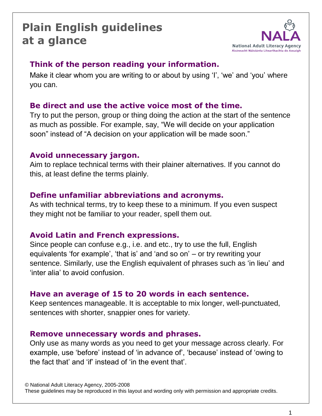## **Plain English guidelines at a glance**



## **Think of the person reading your information.**

Make it clear whom you are writing to or about by using 'I', 'we' and 'you' where you can.

## **Be direct and use the active voice most of the time.**

Try to put the person, group or thing doing the action at the start of the sentence as much as possible. For example, say, "We will decide on your application soon" instead of "A decision on your application will be made soon."

### **Avoid unnecessary jargon.**

Aim to replace technical terms with their plainer alternatives. If you cannot do this, at least define the terms plainly.

## **Define unfamiliar abbreviations and acronyms.**

As with technical terms, try to keep these to a minimum. If you even suspect they might not be familiar to your reader, spell them out.

### **Avoid Latin and French expressions.**

Since people can confuse e.g., i.e. and etc., try to use the full, English equivalents "for example", "that is" and "and so on" – or try rewriting your sentence. Similarly, use the English equivalent of phrases such as "in lieu" and "inter alia" to avoid confusion.

### **Have an average of 15 to 20 words in each sentence.**

Keep sentences manageable. It is acceptable to mix longer, well-punctuated, sentences with shorter, snappier ones for variety.

### **Remove unnecessary words and phrases.**

Only use as many words as you need to get your message across clearly. For example, use 'before' instead of 'in advance of', 'because' instead of 'owing to the fact that" and "if" instead of "in the event that".

© National Adult Literacy Agency, 2005-2008

These guidelines may be reproduced in this layout and wording only with permission and appropriate credits.